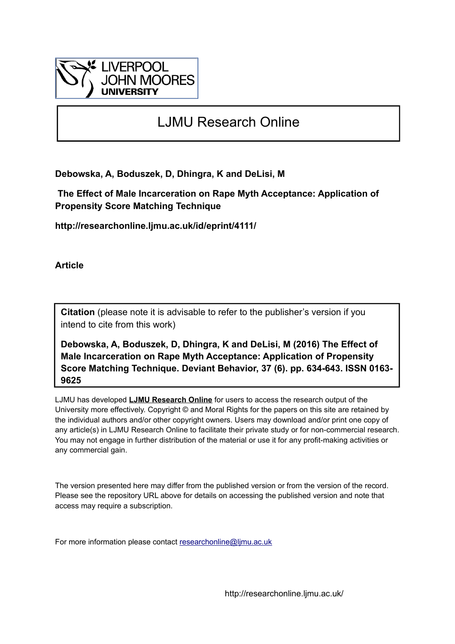

## LJMU Research Online

**Debowska, A, Boduszek, D, Dhingra, K and DeLisi, M**

 **The Effect of Male Incarceration on Rape Myth Acceptance: Application of Propensity Score Matching Technique**

**http://researchonline.ljmu.ac.uk/id/eprint/4111/**

**Article**

**Citation** (please note it is advisable to refer to the publisher's version if you intend to cite from this work)

**Debowska, A, Boduszek, D, Dhingra, K and DeLisi, M (2016) The Effect of Male Incarceration on Rape Myth Acceptance: Application of Propensity Score Matching Technique. Deviant Behavior, 37 (6). pp. 634-643. ISSN 0163- 9625** 

LJMU has developed **[LJMU Research Online](http://researchonline.ljmu.ac.uk/)** for users to access the research output of the University more effectively. Copyright © and Moral Rights for the papers on this site are retained by the individual authors and/or other copyright owners. Users may download and/or print one copy of any article(s) in LJMU Research Online to facilitate their private study or for non-commercial research. You may not engage in further distribution of the material or use it for any profit-making activities or any commercial gain.

The version presented here may differ from the published version or from the version of the record. Please see the repository URL above for details on accessing the published version and note that access may require a subscription.

For more information please contact [researchonline@ljmu.ac.uk](mailto:researchonline@ljmu.ac.uk)

http://researchonline.ljmu.ac.uk/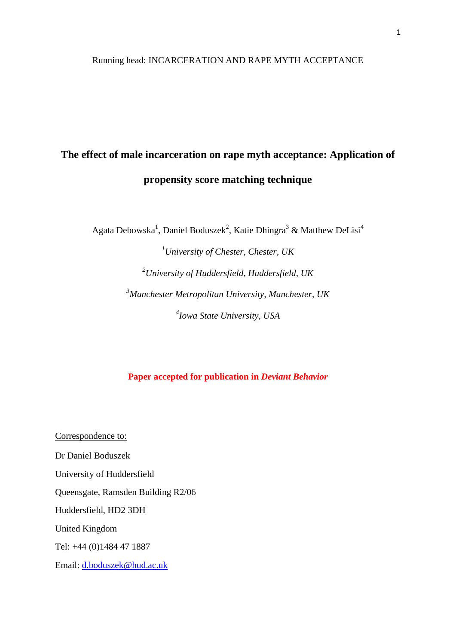#### Running head: INCARCERATION AND RAPE MYTH ACCEPTANCE

# **The effect of male incarceration on rape myth acceptance: Application of propensity score matching technique**

Agata Debowska<sup>1</sup>, Daniel Boduszek<sup>2</sup>, Katie Dhingra<sup>3</sup> & Matthew DeLisi<sup>4</sup>

*University of Chester, Chester, UK University of Huddersfield, Huddersfield, UK Manchester Metropolitan University, Manchester, UK Iowa State University, USA*

**Paper accepted for publication in** *Deviant Behavior*

Correspondence to: Dr Daniel Boduszek University of Huddersfield Queensgate, Ramsden Building R2/06 Huddersfield, HD2 3DH United Kingdom Tel: +44 (0)1484 47 1887 Email: [d.boduszek@hud.ac.uk](mailto:d.boduszek@hud.ac.uk)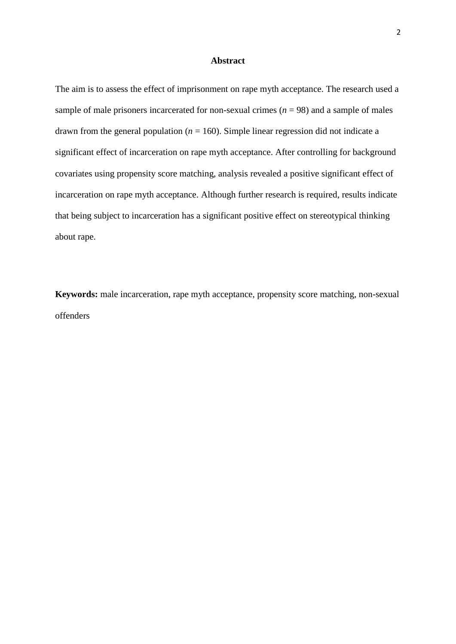#### **Abstract**

The aim is to assess the effect of imprisonment on rape myth acceptance. The research used a sample of male prisoners incarcerated for non-sexual crimes  $(n = 98)$  and a sample of males drawn from the general population ( $n = 160$ ). Simple linear regression did not indicate a significant effect of incarceration on rape myth acceptance. After controlling for background covariates using propensity score matching, analysis revealed a positive significant effect of incarceration on rape myth acceptance. Although further research is required, results indicate that being subject to incarceration has a significant positive effect on stereotypical thinking about rape.

**Keywords:** male incarceration, rape myth acceptance, propensity score matching, non-sexual offenders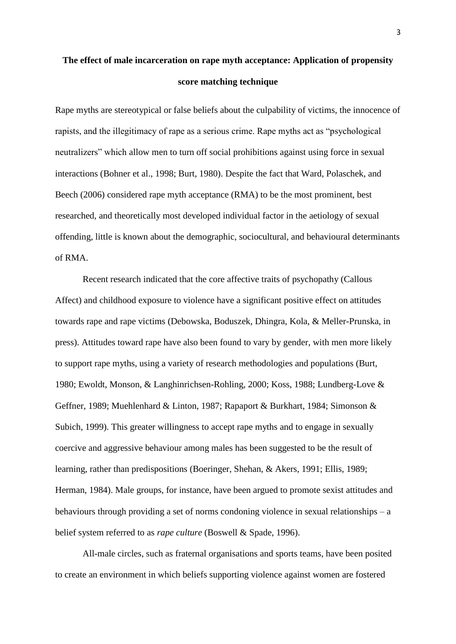## **The effect of male incarceration on rape myth acceptance: Application of propensity score matching technique**

Rape myths are stereotypical or false beliefs about the culpability of victims, the innocence of rapists, and the illegitimacy of rape as a serious crime. Rape myths act as "psychological neutralizers" which allow men to turn off social prohibitions against using force in sexual interactions (Bohner et al., 1998; Burt, 1980). Despite the fact that Ward, Polaschek, and Beech (2006) considered rape myth acceptance (RMA) to be the most prominent, best researched, and theoretically most developed individual factor in the aetiology of sexual offending, little is known about the demographic, sociocultural, and behavioural determinants of RMA.

Recent research indicated that the core affective traits of psychopathy (Callous Affect) and childhood exposure to violence have a significant positive effect on attitudes towards rape and rape victims (Debowska, Boduszek, Dhingra, Kola, & Meller-Prunska, in press). Attitudes toward rape have also been found to vary by gender, with men more likely to support rape myths, using a variety of research methodologies and populations (Burt, 1980; Ewoldt, Monson, & Langhinrichsen-Rohling, 2000; Koss, 1988; Lundberg-Love & Geffner, 1989; Muehlenhard & Linton, 1987; Rapaport & Burkhart, 1984; Simonson & Subich, 1999). This greater willingness to accept rape myths and to engage in sexually coercive and aggressive behaviour among males has been suggested to be the result of learning, rather than predispositions (Boeringer, Shehan, & Akers, 1991; Ellis, 1989; Herman, 1984). Male groups, for instance, have been argued to promote sexist attitudes and behaviours through providing a set of norms condoning violence in sexual relationships – a belief system referred to as *rape culture* (Boswell & Spade, 1996).

All-male circles, such as fraternal organisations and sports teams, have been posited to create an environment in which beliefs supporting violence against women are fostered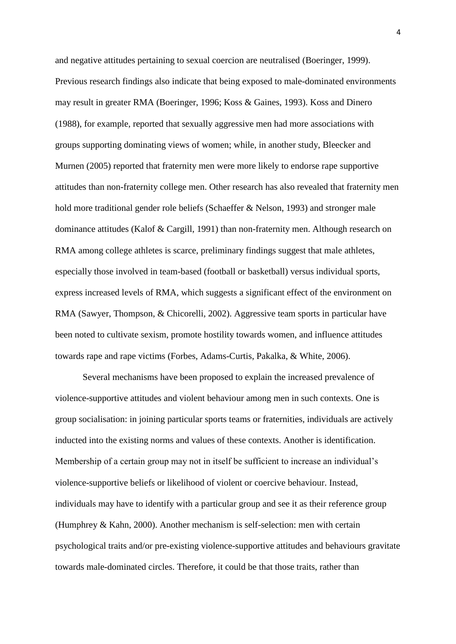and negative attitudes pertaining to sexual coercion are neutralised (Boeringer, 1999). Previous research findings also indicate that being exposed to male-dominated environments may result in greater RMA (Boeringer, 1996; Koss & Gaines, 1993). Koss and Dinero (1988), for example, reported that sexually aggressive men had more associations with groups supporting dominating views of women; while, in another study, Bleecker and Murnen (2005) reported that fraternity men were more likely to endorse rape supportive attitudes than non-fraternity college men. Other research has also revealed that fraternity men hold more traditional gender role beliefs (Schaeffer & Nelson, 1993) and stronger male dominance attitudes (Kalof & Cargill, 1991) than non-fraternity men. Although research on RMA among college athletes is scarce, preliminary findings suggest that male athletes, especially those involved in team-based (football or basketball) versus individual sports, express increased levels of RMA, which suggests a significant effect of the environment on RMA (Sawyer, Thompson, & Chicorelli, 2002). Aggressive team sports in particular have been noted to cultivate sexism, promote hostility towards women, and influence attitudes towards rape and rape victims (Forbes, Adams-Curtis, Pakalka, & White, 2006).

Several mechanisms have been proposed to explain the increased prevalence of violence-supportive attitudes and violent behaviour among men in such contexts. One is group socialisation: in joining particular sports teams or fraternities, individuals are actively inducted into the existing norms and values of these contexts. Another is identification. Membership of a certain group may not in itself be sufficient to increase an individual"s violence-supportive beliefs or likelihood of violent or coercive behaviour. Instead, individuals may have to identify with a particular group and see it as their reference group (Humphrey & Kahn, 2000). Another mechanism is self-selection: men with certain psychological traits and/or pre-existing violence-supportive attitudes and behaviours gravitate towards male-dominated circles. Therefore, it could be that those traits, rather than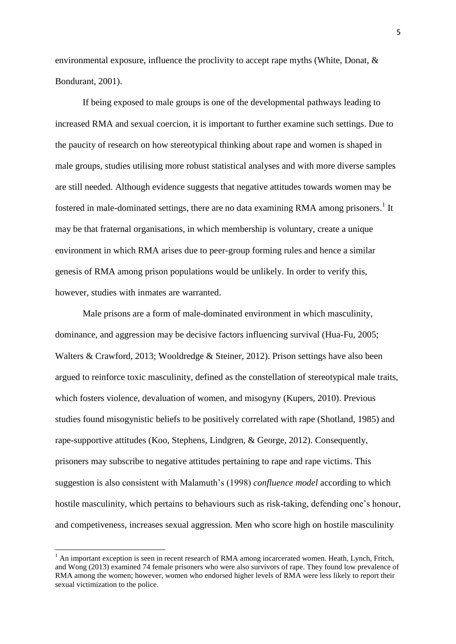environmental exposure, influence the proclivity to accept rape myths (White, Donat, & Bondurant, 2001).

If being exposed to male groups is one of the developmental pathways leading to increased RMA and sexual coercion, it is important to further examine such settings. Due to the paucity of research on how stereotypical thinking about rape and women is shaped in male groups, studies utilising more robust statistical analyses and with more diverse samples are still needed. Although evidence suggests that negative attitudes towards women may be fostered in male-dominated settings, there are no data examining RMA among prisoners.<sup>1</sup> It may be that fraternal organisations, in which membership is voluntary, create a unique environment in which RMA arises due to peer-group forming rules and hence a similar genesis of RMA among prison populations would be unlikely. In order to verify this, however, studies with inmates are warranted.

Male prisons are a form of male-dominated environment in which masculinity, dominance, and aggression may be decisive factors influencing survival (Hua-Fu, 2005; Walters & Crawford, 2013; Wooldredge & Steiner, 2012). Prison settings have also been argued to reinforce toxic masculinity, defined as the constellation of stereotypical male traits, which fosters violence, devaluation of women, and misogyny (Kupers, 2010). Previous studies found misogynistic beliefs to be positively correlated with rape (Shotland, 1985) and rape-supportive attitudes (Koo, Stephens, Lindgren, & George, 2012). Consequently, prisoners may subscribe to negative attitudes pertaining to rape and rape victims. This suggestion is also consistent with Malamuth"s (1998) *confluence model* according to which hostile masculinity, which pertains to behaviours such as risk-taking, defending one's honour, and competiveness, increases sexual aggression. Men who score high on hostile masculinity

**.** 

 $<sup>1</sup>$  An important exception is seen in recent research of RMA among incarcerated women. Heath, Lynch, Fritch,</sup> and Wong (2013) examined 74 female prisoners who were also survivors of rape. They found low prevalence of RMA among the women; however, women who endorsed higher levels of RMA were less likely to report their sexual victimization to the police.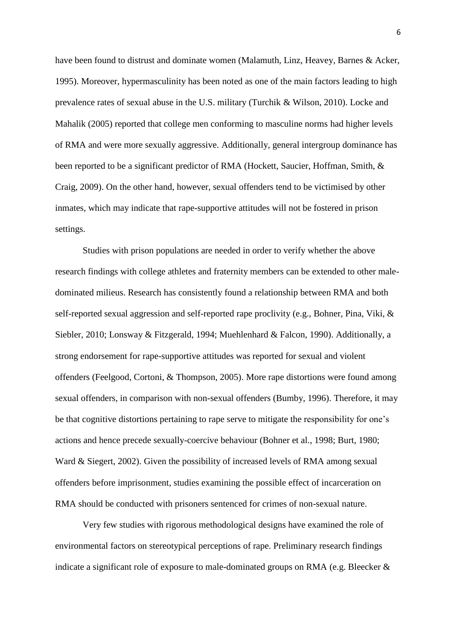have been found to distrust and dominate women (Malamuth, Linz, Heavey, Barnes & Acker, 1995). Moreover, hypermasculinity has been noted as one of the main factors leading to high prevalence rates of sexual abuse in the U.S. military (Turchik & Wilson, 2010). Locke and Mahalik (2005) reported that college men conforming to masculine norms had higher levels of RMA and were more sexually aggressive. Additionally, general intergroup dominance has been reported to be a significant predictor of RMA (Hockett, Saucier, Hoffman, Smith, & Craig, 2009). On the other hand, however, sexual offenders tend to be victimised by other inmates, which may indicate that rape-supportive attitudes will not be fostered in prison settings.

Studies with prison populations are needed in order to verify whether the above research findings with college athletes and fraternity members can be extended to other maledominated milieus. Research has consistently found a relationship between RMA and both self-reported sexual aggression and self-reported rape proclivity (e.g., Bohner, Pina, Viki, & Siebler, 2010; Lonsway & Fitzgerald, 1994; Muehlenhard & Falcon, 1990). Additionally, a strong endorsement for rape-supportive attitudes was reported for sexual and violent offenders (Feelgood, Cortoni, & Thompson, 2005). More rape distortions were found among sexual offenders, in comparison with non-sexual offenders (Bumby, 1996). Therefore, it may be that cognitive distortions pertaining to rape serve to mitigate the responsibility for one"s actions and hence precede sexually-coercive behaviour (Bohner et al., 1998; Burt, 1980; Ward & Siegert, 2002). Given the possibility of increased levels of RMA among sexual offenders before imprisonment, studies examining the possible effect of incarceration on RMA should be conducted with prisoners sentenced for crimes of non-sexual nature.

Very few studies with rigorous methodological designs have examined the role of environmental factors on stereotypical perceptions of rape. Preliminary research findings indicate a significant role of exposure to male-dominated groups on RMA (e.g. Bleecker &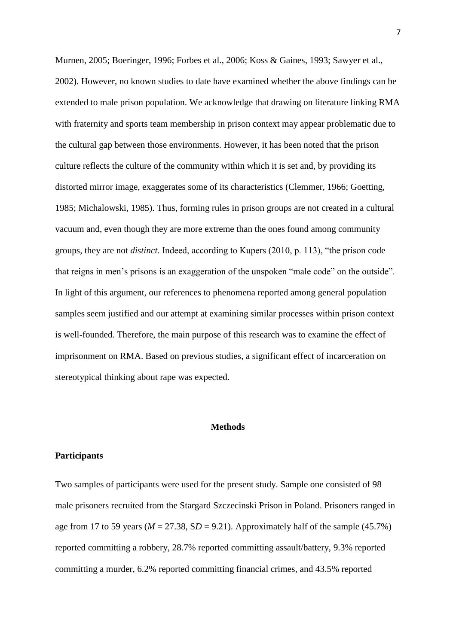Murnen, 2005; Boeringer, 1996; Forbes et al., 2006; Koss & Gaines, 1993; Sawyer et al., 2002). However, no known studies to date have examined whether the above findings can be extended to male prison population. We acknowledge that drawing on literature linking RMA with fraternity and sports team membership in prison context may appear problematic due to the cultural gap between those environments. However, it has been noted that the prison culture reflects the culture of the community within which it is set and, by providing its distorted mirror image, exaggerates some of its characteristics (Clemmer, 1966; Goetting, 1985; Michalowski, 1985). Thus, forming rules in prison groups are not created in a cultural vacuum and, even though they are more extreme than the ones found among community groups, they are not *distinct*. Indeed, according to Kupers (2010, p. 113), "the prison code that reigns in men"s prisons is an exaggeration of the unspoken "male code" on the outside". In light of this argument, our references to phenomena reported among general population samples seem justified and our attempt at examining similar processes within prison context is well-founded. Therefore, the main purpose of this research was to examine the effect of imprisonment on RMA. Based on previous studies, a significant effect of incarceration on stereotypical thinking about rape was expected.

#### **Methods**

#### **Participants**

Two samples of participants were used for the present study. Sample one consisted of 98 male prisoners recruited from the Stargard Szczecinski Prison in Poland. Prisoners ranged in age from 17 to 59 years ( $M = 27.38$ ,  $SD = 9.21$ ). Approximately half of the sample (45.7%) reported committing a robbery, 28.7% reported committing assault/battery, 9.3% reported committing a murder, 6.2% reported committing financial crimes, and 43.5% reported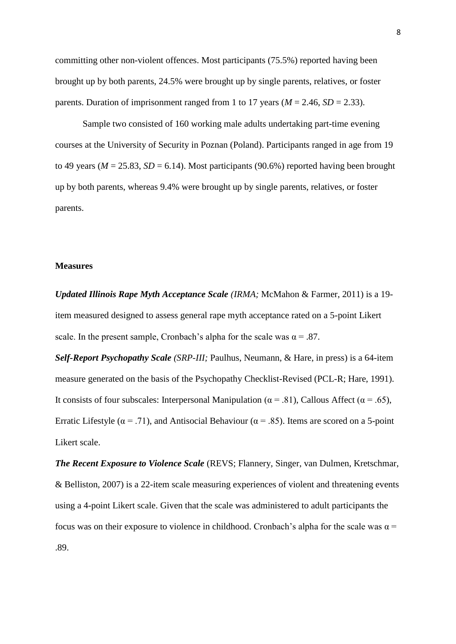committing other non-violent offences. Most participants (75.5%) reported having been brought up by both parents, 24.5% were brought up by single parents, relatives, or foster parents. Duration of imprisonment ranged from 1 to 17 years ( $M = 2.46$ ,  $SD = 2.33$ ).

Sample two consisted of 160 working male adults undertaking part-time evening courses at the University of Security in Poznan (Poland). Participants ranged in age from 19 to 49 years ( $M = 25.83$ ,  $SD = 6.14$ ). Most participants (90.6%) reported having been brought up by both parents, whereas 9.4% were brought up by single parents, relatives, or foster parents.

#### **Measures**

*Updated Illinois Rape Myth Acceptance Scale (IRMA;* McMahon & Farmer, 2011) is a 19 item measured designed to assess general rape myth acceptance rated on a 5-point Likert scale. In the present sample, Cronbach's alpha for the scale was  $\alpha = .87$ .

*Self-Report Psychopathy Scale (SRP-III;* Paulhus, Neumann, & Hare, in press) is a 64-item measure generated on the basis of the Psychopathy Checklist-Revised (PCL-R; Hare, 1991). It consists of four subscales: Interpersonal Manipulation ( $\alpha$  = .81), Callous Affect ( $\alpha$  = .65), Erratic Lifestyle ( $\alpha$  = .71), and Antisocial Behaviour ( $\alpha$  = .85). Items are scored on a 5-point Likert scale.

*The Recent Exposure to Violence Scale* (REVS; Flannery, Singer, van Dulmen, Kretschmar, & Belliston, 2007) is a 22-item scale measuring experiences of violent and threatening events using a 4-point Likert scale. Given that the scale was administered to adult participants the focus was on their exposure to violence in childhood. Cronbach's alpha for the scale was  $\alpha$  = .89.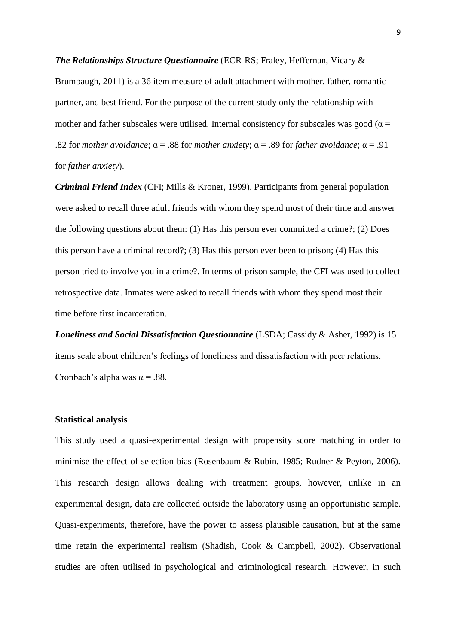*The Relationships Structure Questionnaire* (ECR-RS; Fraley, Heffernan, Vicary & Brumbaugh, 2011) is a 36 item measure of adult attachment with mother, father, romantic partner, and best friend. For the purpose of the current study only the relationship with mother and father subscales were utilised. Internal consistency for subscales was good ( $\alpha$  = .82 for *mother avoidance*;  $\alpha$  = .88 for *mother anxiety*;  $\alpha$  = .89 for *father avoidance*;  $\alpha$  = .91 for *father anxiety*).

*Criminal Friend Index* (CFI; Mills & Kroner, 1999). Participants from general population were asked to recall three adult friends with whom they spend most of their time and answer the following questions about them: (1) Has this person ever committed a crime?; (2) Does this person have a criminal record?; (3) Has this person ever been to prison; (4) Has this person tried to involve you in a crime?. In terms of prison sample, the CFI was used to collect retrospective data. Inmates were asked to recall friends with whom they spend most their time before first incarceration.

*Loneliness and Social Dissatisfaction Questionnaire* (LSDA; Cassidy & Asher, 1992) is 15 items scale about children"s feelings of loneliness and dissatisfaction with peer relations. Cronbach's alpha was  $\alpha$  = .88.

#### **Statistical analysis**

This study used a quasi-experimental design with propensity score matching in order to minimise the effect of selection bias (Rosenbaum & Rubin, 1985; Rudner & Peyton, 2006). This research design allows dealing with treatment groups, however, unlike in an experimental design, data are collected outside the laboratory using an opportunistic sample. Quasi-experiments, therefore, have the power to assess plausible causation, but at the same time retain the experimental realism (Shadish, Cook & Campbell, 2002). Observational studies are often utilised in psychological and criminological research. However, in such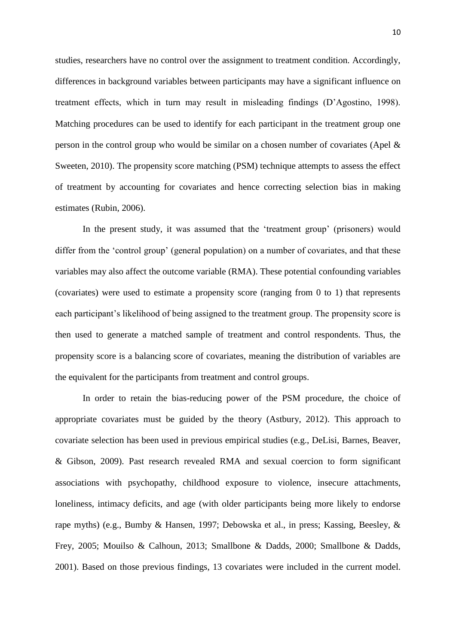studies, researchers have no control over the assignment to treatment condition. Accordingly, differences in background variables between participants may have a significant influence on treatment effects, which in turn may result in misleading findings (D"Agostino, 1998). Matching procedures can be used to identify for each participant in the treatment group one person in the control group who would be similar on a chosen number of covariates (Apel & Sweeten, 2010). The propensity score matching (PSM) technique attempts to assess the effect of treatment by accounting for covariates and hence correcting selection bias in making estimates (Rubin, 2006).

In the present study, it was assumed that the 'treatment group' (prisoners) would differ from the 'control group' (general population) on a number of covariates, and that these variables may also affect the outcome variable (RMA). These potential confounding variables (covariates) were used to estimate a propensity score (ranging from 0 to 1) that represents each participant's likelihood of being assigned to the treatment group. The propensity score is then used to generate a matched sample of treatment and control respondents. Thus, the propensity score is a balancing score of covariates, meaning the distribution of variables are the equivalent for the participants from treatment and control groups.

In order to retain the bias-reducing power of the PSM procedure, the choice of appropriate covariates must be guided by the theory (Astbury, 2012). This approach to covariate selection has been used in previous empirical studies (e.g., DeLisi, Barnes, Beaver, & Gibson, 2009). Past research revealed RMA and sexual coercion to form significant associations with psychopathy, childhood exposure to violence, insecure attachments, loneliness, intimacy deficits, and age (with older participants being more likely to endorse rape myths) (e.g., Bumby & Hansen, 1997; Debowska et al., in press; Kassing, Beesley, & Frey, 2005; Mouilso & Calhoun, 2013; Smallbone & Dadds, 2000; Smallbone & Dadds, 2001). Based on those previous findings, 13 covariates were included in the current model.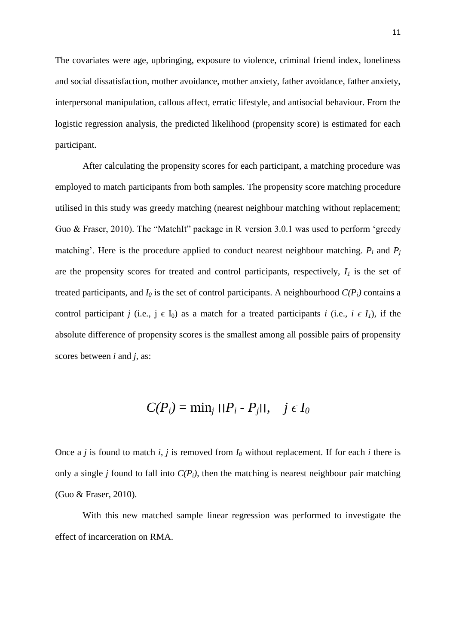The covariates were age, upbringing, exposure to violence, criminal friend index, loneliness and social dissatisfaction, mother avoidance, mother anxiety, father avoidance, father anxiety, interpersonal manipulation, callous affect, erratic lifestyle, and antisocial behaviour. From the logistic regression analysis, the predicted likelihood (propensity score) is estimated for each participant.

After calculating the propensity scores for each participant, a matching procedure was employed to match participants from both samples. The propensity score matching procedure utilised in this study was greedy matching (nearest neighbour matching without replacement; Guo & Fraser, 2010). The "MatchIt" package in R version 3.0.1 was used to perform "greedy matching'. Here is the procedure applied to conduct nearest neighbour matching.  $P_i$  and  $P_j$ are the propensity scores for treated and control participants, respectively,  $I<sub>I</sub>$  is the set of treated participants, and  $I_0$  is the set of control participants. A neighbourhood  $C(P_i)$  contains a control participant *j* (i.e.,  $j \in I_0$ ) as a match for a treated participants *i* (i.e.,  $i \in I_1$ ), if the absolute difference of propensity scores is the smallest among all possible pairs of propensity scores between *i* and *j*, as:

$$
C(P_i) = \min_j ||P_i - P_j||, \quad j \in I_0
$$

Once a *j* is found to match *i*, *j* is removed from  $I_0$  without replacement. If for each *i* there is only a single *j* found to fall into  $C(P_i)$ , then the matching is nearest neighbour pair matching (Guo & Fraser, 2010).

With this new matched sample linear regression was performed to investigate the effect of incarceration on RMA.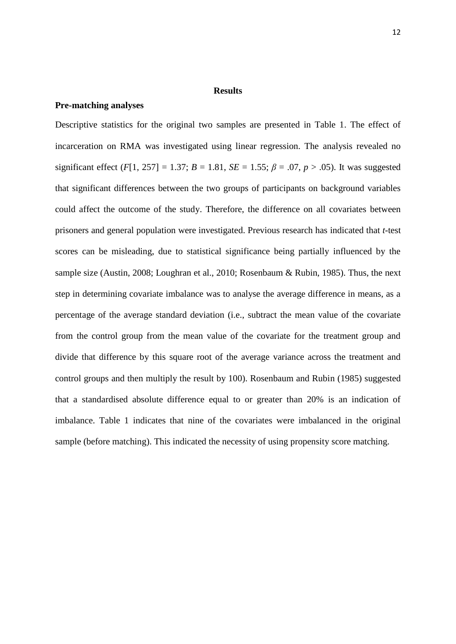#### **Results**

#### **Pre-matching analyses**

Descriptive statistics for the original two samples are presented in Table 1. The effect of incarceration on RMA was investigated using linear regression. The analysis revealed no significant effect (*F*[1, 257] = 1.37; *B* = 1.81, *SE* = 1.55;  $\beta$  = .07, *p* > .05). It was suggested that significant differences between the two groups of participants on background variables could affect the outcome of the study. Therefore, the difference on all covariates between prisoners and general population were investigated. Previous research has indicated that *t*-test scores can be misleading, due to statistical significance being partially influenced by the sample size (Austin, 2008; Loughran et al., 2010; Rosenbaum & Rubin, 1985). Thus, the next step in determining covariate imbalance was to analyse the average difference in means, as a percentage of the average standard deviation (i.e., subtract the mean value of the covariate from the control group from the mean value of the covariate for the treatment group and divide that difference by this square root of the average variance across the treatment and control groups and then multiply the result by 100). Rosenbaum and Rubin (1985) suggested that a standardised absolute difference equal to or greater than 20% is an indication of imbalance. Table 1 indicates that nine of the covariates were imbalanced in the original sample (before matching). This indicated the necessity of using propensity score matching.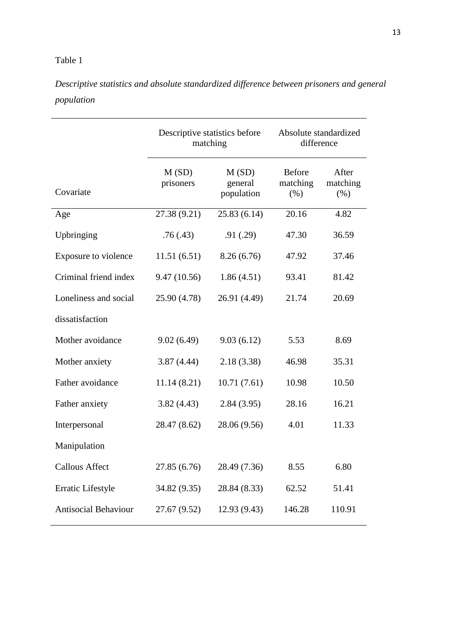### Table 1

*Descriptive statistics and absolute standardized difference between prisoners and general population*

|                             | Descriptive statistics before<br>matching |                                | Absolute standardized<br>difference |                           |
|-----------------------------|-------------------------------------------|--------------------------------|-------------------------------------|---------------------------|
| Covariate                   | M(SD)<br>prisoners                        | M(SD)<br>general<br>population | <b>Before</b><br>matching<br>(% )   | After<br>matching<br>(% ) |
| Age                         | 27.38 (9.21)                              | 25.83(6.14)                    | 20.16                               | 4.82                      |
| Upbringing                  | .76(.43)                                  | .91(.29)                       | 47.30                               | 36.59                     |
| Exposure to violence        | 11.51(6.51)                               | 8.26(6.76)                     | 47.92                               | 37.46                     |
| Criminal friend index       | 9.47(10.56)                               | 1.86(4.51)                     | 93.41                               | 81.42                     |
| Loneliness and social       | 25.90 (4.78)                              | 26.91 (4.49)                   | 21.74                               | 20.69                     |
| dissatisfaction             |                                           |                                |                                     |                           |
| Mother avoidance            | 9.02(6.49)                                | 9.03(6.12)                     | 5.53                                | 8.69                      |
| Mother anxiety              | 3.87(4.44)                                | 2.18(3.38)                     | 46.98                               | 35.31                     |
| Father avoidance            | 11.14(8.21)                               | 10.71(7.61)                    | 10.98                               | 10.50                     |
| Father anxiety              | 3.82(4.43)                                | 2.84(3.95)                     | 28.16                               | 16.21                     |
| Interpersonal               | 28.47 (8.62)                              | 28.06 (9.56)                   | 4.01                                | 11.33                     |
| Manipulation                |                                           |                                |                                     |                           |
| <b>Callous Affect</b>       | 27.85 (6.76)                              | 28.49 (7.36)                   | 8.55                                | 6.80                      |
| Erratic Lifestyle           | 34.82 (9.35)                              | 28.84 (8.33)                   | 62.52                               | 51.41                     |
| <b>Antisocial Behaviour</b> | 27.67 (9.52)                              | 12.93 (9.43)                   | 146.28                              | 110.91                    |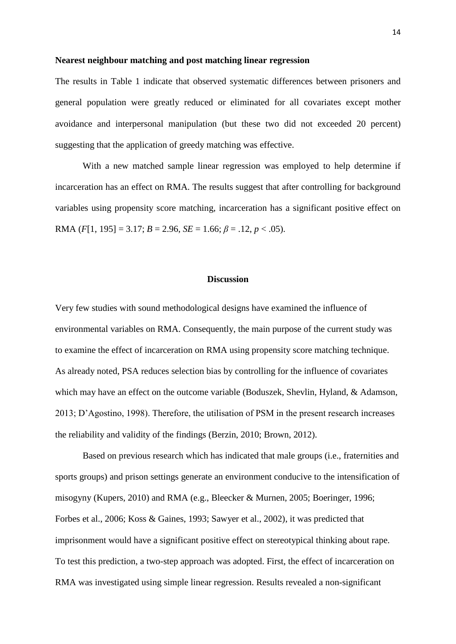#### **Nearest neighbour matching and post matching linear regression**

The results in Table 1 indicate that observed systematic differences between prisoners and general population were greatly reduced or eliminated for all covariates except mother avoidance and interpersonal manipulation (but these two did not exceeded 20 percent) suggesting that the application of greedy matching was effective.

With a new matched sample linear regression was employed to help determine if incarceration has an effect on RMA. The results suggest that after controlling for background variables using propensity score matching, incarceration has a significant positive effect on RMA (*F*[1, 195] = 3.17; *B* = 2.96, *SE* = 1.66;  $\beta$  = .12, *p* < .05).

#### **Discussion**

Very few studies with sound methodological designs have examined the influence of environmental variables on RMA. Consequently, the main purpose of the current study was to examine the effect of incarceration on RMA using propensity score matching technique. As already noted, PSA reduces selection bias by controlling for the influence of covariates which may have an effect on the outcome variable (Boduszek, Shevlin, Hyland, & Adamson, 2013; D"Agostino, 1998). Therefore, the utilisation of PSM in the present research increases the reliability and validity of the findings (Berzin, 2010; Brown, 2012).

Based on previous research which has indicated that male groups (i.e., fraternities and sports groups) and prison settings generate an environment conducive to the intensification of misogyny (Kupers, 2010) and RMA (e.g., Bleecker & Murnen, 2005; Boeringer, 1996; Forbes et al., 2006; Koss & Gaines, 1993; Sawyer et al., 2002), it was predicted that imprisonment would have a significant positive effect on stereotypical thinking about rape. To test this prediction, a two-step approach was adopted. First, the effect of incarceration on RMA was investigated using simple linear regression. Results revealed a non-significant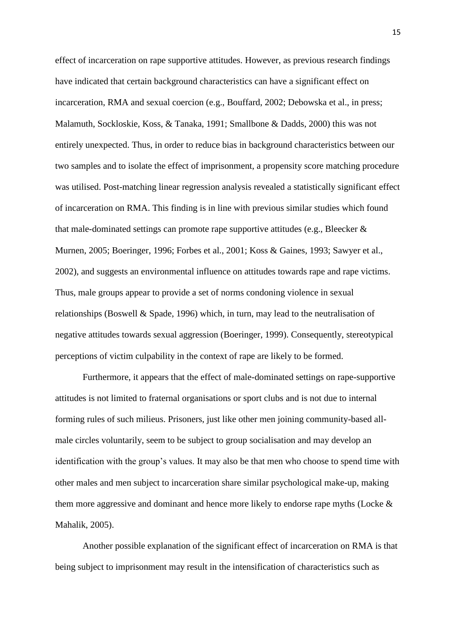effect of incarceration on rape supportive attitudes. However, as previous research findings have indicated that certain background characteristics can have a significant effect on incarceration, RMA and sexual coercion (e.g., Bouffard, 2002; Debowska et al., in press; Malamuth, Sockloskie, Koss, & Tanaka, 1991; Smallbone & Dadds, 2000) this was not entirely unexpected. Thus, in order to reduce bias in background characteristics between our two samples and to isolate the effect of imprisonment, a propensity score matching procedure was utilised. Post-matching linear regression analysis revealed a statistically significant effect of incarceration on RMA. This finding is in line with previous similar studies which found that male-dominated settings can promote rape supportive attitudes (e.g., Bleecker  $\&$ Murnen, 2005; Boeringer, 1996; Forbes et al., 2001; Koss & Gaines, 1993; Sawyer et al., 2002), and suggests an environmental influence on attitudes towards rape and rape victims. Thus, male groups appear to provide a set of norms condoning violence in sexual relationships (Boswell & Spade, 1996) which, in turn, may lead to the neutralisation of negative attitudes towards sexual aggression (Boeringer, 1999). Consequently, stereotypical perceptions of victim culpability in the context of rape are likely to be formed.

Furthermore, it appears that the effect of male-dominated settings on rape-supportive attitudes is not limited to fraternal organisations or sport clubs and is not due to internal forming rules of such milieus. Prisoners, just like other men joining community-based allmale circles voluntarily, seem to be subject to group socialisation and may develop an identification with the group"s values. It may also be that men who choose to spend time with other males and men subject to incarceration share similar psychological make-up, making them more aggressive and dominant and hence more likely to endorse rape myths (Locke & Mahalik, 2005).

Another possible explanation of the significant effect of incarceration on RMA is that being subject to imprisonment may result in the intensification of characteristics such as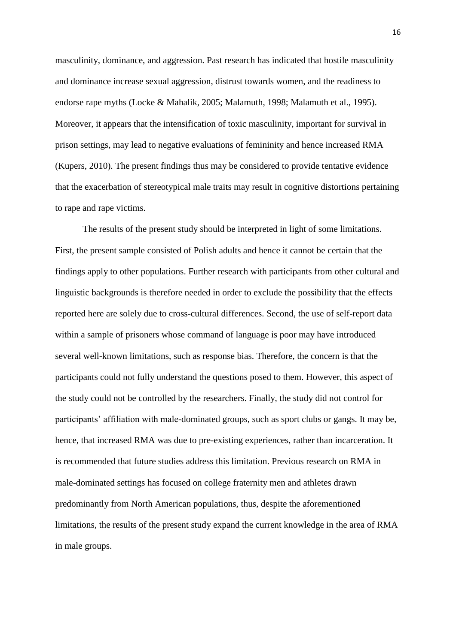masculinity, dominance, and aggression. Past research has indicated that hostile masculinity and dominance increase sexual aggression, distrust towards women, and the readiness to endorse rape myths (Locke & Mahalik, 2005; Malamuth, 1998; Malamuth et al., 1995). Moreover, it appears that the intensification of toxic masculinity, important for survival in prison settings, may lead to negative evaluations of femininity and hence increased RMA (Kupers, 2010). The present findings thus may be considered to provide tentative evidence that the exacerbation of stereotypical male traits may result in cognitive distortions pertaining to rape and rape victims.

The results of the present study should be interpreted in light of some limitations. First, the present sample consisted of Polish adults and hence it cannot be certain that the findings apply to other populations. Further research with participants from other cultural and linguistic backgrounds is therefore needed in order to exclude the possibility that the effects reported here are solely due to cross-cultural differences. Second, the use of self-report data within a sample of prisoners whose command of language is poor may have introduced several well-known limitations, such as response bias. Therefore, the concern is that the participants could not fully understand the questions posed to them. However, this aspect of the study could not be controlled by the researchers. Finally, the study did not control for participants' affiliation with male-dominated groups, such as sport clubs or gangs. It may be, hence, that increased RMA was due to pre-existing experiences, rather than incarceration. It is recommended that future studies address this limitation. Previous research on RMA in male-dominated settings has focused on college fraternity men and athletes drawn predominantly from North American populations, thus, despite the aforementioned limitations, the results of the present study expand the current knowledge in the area of RMA in male groups.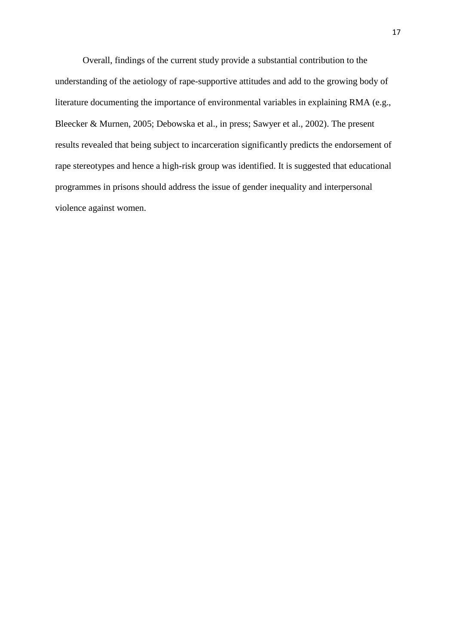Overall, findings of the current study provide a substantial contribution to the understanding of the aetiology of rape-supportive attitudes and add to the growing body of literature documenting the importance of environmental variables in explaining RMA (e.g., Bleecker & Murnen, 2005; Debowska et al., in press; Sawyer et al., 2002). The present results revealed that being subject to incarceration significantly predicts the endorsement of rape stereotypes and hence a high-risk group was identified. It is suggested that educational programmes in prisons should address the issue of gender inequality and interpersonal violence against women.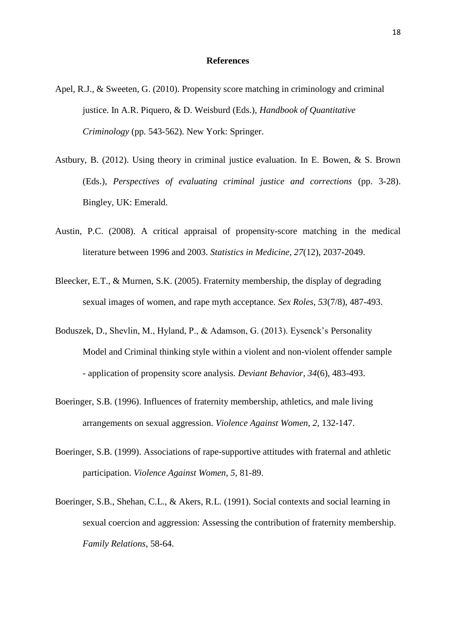#### **References**

- Apel, R.J., & Sweeten, G. (2010). Propensity score matching in criminology and criminal justice. In A.R. Piquero, & D. Weisburd (Eds.), *Handbook of Quantitative Criminology* (pp. 543-562). New York: Springer.
- Astbury, B. (2012). Using theory in criminal justice evaluation. In E. Bowen, & S. Brown (Eds.), *Perspectives of evaluating criminal justice and corrections* (pp. 3-28). Bingley, UK: Emerald.
- Austin, P.C. (2008). A critical appraisal of propensity-score matching in the medical literature between 1996 and 2003. *Statistics in Medicine, 27*(12), 2037-2049.
- Bleecker, E.T., & Murnen, S.K. (2005). Fraternity membership, the display of degrading sexual images of women, and rape myth acceptance. *Sex Roles, 53*(7/8), 487-493.
- Boduszek, D., Shevlin, M., Hyland, P., & Adamson, G. (2013). Eysenck"s Personality Model and Criminal thinking style within a violent and non-violent offender sample - application of propensity score analysis. *Deviant Behavior, 34*(6), 483-493.
- Boeringer, S.B. (1996). Influences of fraternity membership, athletics, and male living arrangements on sexual aggression. *Violence Against Women, 2*, 132-147.
- Boeringer, S.B. (1999). Associations of rape-supportive attitudes with fraternal and athletic participation. *Violence Against Women, 5*, 81-89.
- Boeringer, S.B., Shehan, C.L., & Akers, R.L. (1991). Social contexts and social learning in sexual coercion and aggression: Assessing the contribution of fraternity membership. *Family Relations*, 58-64.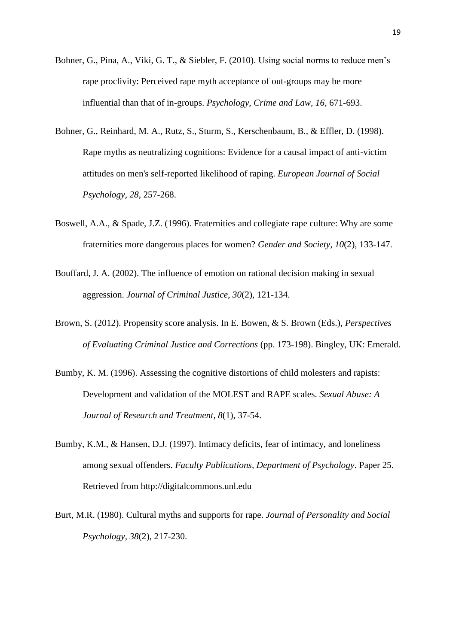- Bohner, G., Pina, A., Viki, G. T., & Siebler, F. (2010). Using social norms to reduce men's rape proclivity: Perceived rape myth acceptance of out-groups may be more influential than that of in-groups. *Psychology, Crime and Law, 16*, 671-693.
- Bohner, G., Reinhard, M. A., Rutz, S., Sturm, S., Kerschenbaum, B., & Effler, D. (1998). Rape myths as neutralizing cognitions: Evidence for a causal impact of anti-victim attitudes on men's self-reported likelihood of raping. *European Journal of Social Psychology, 28*, 257-268.
- Boswell, A.A., & Spade, J.Z. (1996). Fraternities and collegiate rape culture: Why are some fraternities more dangerous places for women? *Gender and Society, 10*(2), 133-147.
- Bouffard, J. A. (2002). The influence of emotion on rational decision making in sexual aggression. *Journal of Criminal Justice*, *30*(2), 121-134.
- Brown, S. (2012). Propensity score analysis. In E. Bowen, & S. Brown (Eds.), *Perspectives of Evaluating Criminal Justice and Corrections* (pp. 173-198). Bingley, UK: Emerald.
- Bumby, K. M. (1996). Assessing the cognitive distortions of child molesters and rapists: Development and validation of the MOLEST and RAPE scales. *Sexual Abuse: A Journal of Research and Treatment*, *8*(1), 37-54.
- Bumby, K.M., & Hansen, D.J. (1997). Intimacy deficits, fear of intimacy, and loneliness among sexual offenders. *Faculty Publications, Department of Psychology*. Paper 25. Retrieved from http://digitalcommons.unl.edu
- Burt, M.R. (1980). Cultural myths and supports for rape. *Journal of Personality and Social Psychology, 38*(2), 217-230.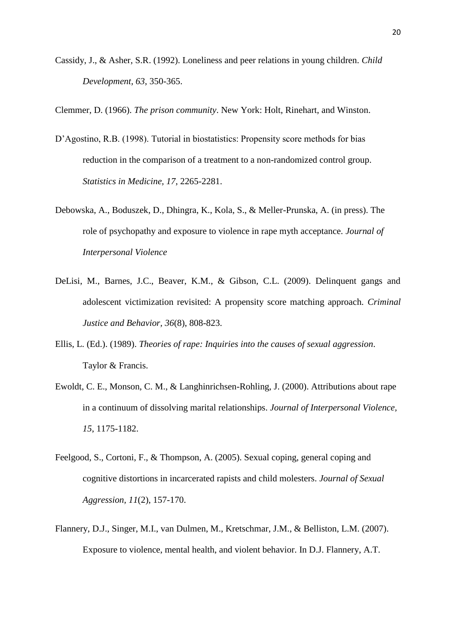Cassidy, J., & Asher, S.R. (1992). Loneliness and peer relations in young children. *Child Development, 63*, 350-365.

Clemmer, D. (1966). *The prison community*. New York: Holt, Rinehart, and Winston.

- D"Agostino, R.B. (1998). Tutorial in biostatistics: Propensity score methods for bias reduction in the comparison of a treatment to a non-randomized control group. *Statistics in Medicine, 17*, 2265-2281.
- Debowska, A., Boduszek, D., Dhingra, K., Kola, S., & Meller-Prunska, A. (in press). The role of psychopathy and exposure to violence in rape myth acceptance. *Journal of Interpersonal Violence*
- DeLisi, M., Barnes, J.C., Beaver, K.M., & Gibson, C.L. (2009). Delinquent gangs and adolescent victimization revisited: A propensity score matching approach. *Criminal Justice and Behavior, 36*(8), 808-823.
- Ellis, L. (Ed.). (1989). *Theories of rape: Inquiries into the causes of sexual aggression*. Taylor & Francis.
- Ewoldt, C. E., Monson, C. M., & Langhinrichsen-Rohling, J. (2000). Attributions about rape in a continuum of dissolving marital relationships. *Journal of Interpersonal Violence, 15*, 1175-1182.
- Feelgood, S., Cortoni, F., & Thompson, A. (2005). Sexual coping, general coping and cognitive distortions in incarcerated rapists and child molesters. *Journal of Sexual Aggression, 11*(2), 157-170.
- Flannery, D.J., Singer, M.I., van Dulmen, M., Kretschmar, J.M., & Belliston, L.M. (2007). Exposure to violence, mental health, and violent behavior. In D.J. Flannery, A.T.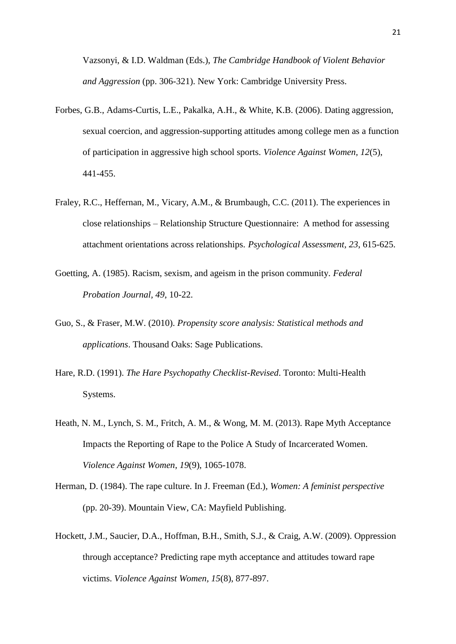Vazsonyi, & I.D. Waldman (Eds.), *The Cambridge Handbook of Violent Behavior and Aggression* (pp. 306-321). New York: Cambridge University Press.

- Forbes, G.B., Adams-Curtis, L.E., Pakalka, A.H., & White, K.B. (2006). Dating aggression, sexual coercion, and aggression-supporting attitudes among college men as a function of participation in aggressive high school sports. *Violence Against Women, 12*(5), 441-455.
- Fraley, R.C., Heffernan, M., Vicary, A.M., & Brumbaugh, C.C. (2011). The experiences in close relationships – Relationship Structure Questionnaire: A method for assessing attachment orientations across relationships. *Psychological Assessment, 23*, 615-625.
- Goetting, A. (1985). Racism, sexism, and ageism in the prison community. *Federal Probation Journal, 49*, 10-22.
- Guo, S., & Fraser, M.W. (2010). *Propensity score analysis: Statistical methods and applications*. Thousand Oaks: Sage Publications.
- Hare, R.D. (1991). *The Hare Psychopathy Checklist-Revised*. Toronto: Multi-Health Systems.
- Heath, N. M., Lynch, S. M., Fritch, A. M., & Wong, M. M. (2013). Rape Myth Acceptance Impacts the Reporting of Rape to the Police A Study of Incarcerated Women. *Violence Against Women*, *19*(9), 1065-1078.
- Herman, D. (1984). The rape culture. In J. Freeman (Ed.), *Women: A feminist perspective* (pp. 20-39). Mountain View, CA: Mayfield Publishing.
- Hockett, J.M., Saucier, D.A., Hoffman, B.H., Smith, S.J., & Craig, A.W. (2009). Oppression through acceptance? Predicting rape myth acceptance and attitudes toward rape victims. *Violence Against Women, 15*(8), 877-897.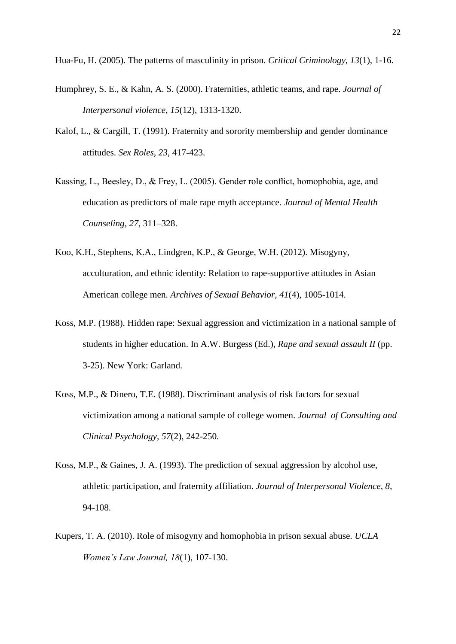Hua-Fu, H. (2005). The patterns of masculinity in prison. *Critical Criminology, 13*(1), 1-16.

- Humphrey, S. E., & Kahn, A. S. (2000). Fraternities, athletic teams, and rape. *Journal of Interpersonal violence*, *15*(12), 1313-1320.
- Kalof, L., & Cargill, T. (1991). Fraternity and sorority membership and gender dominance attitudes. *Sex Roles, 23*, 417-423.
- Kassing, L., Beesley, D., & Frey, L. (2005). Gender role conflict, homophobia, age, and education as predictors of male rape myth acceptance. *Journal of Mental Health Counseling, 27*, 311–328.
- Koo, K.H., Stephens, K.A., Lindgren, K.P., & George, W.H. (2012). Misogyny, acculturation, and ethnic identity: Relation to rape-supportive attitudes in Asian American college men. *Archives of Sexual Behavior, 41*(4), 1005-1014.
- Koss, M.P. (1988). Hidden rape: Sexual aggression and victimization in a national sample of students in higher education. In A.W. Burgess (Ed.), *Rape and sexual assault II* (pp. 3-25). New York: Garland.
- Koss, M.P., & Dinero, T.E. (1988). Discriminant analysis of risk factors for sexual victimization among a national sample of college women. *Journal of Consulting and Clinical Psychology, 57*(2), 242-250.
- Koss, M.P., & Gaines, J. A. (1993). The prediction of sexual aggression by alcohol use, athletic participation, and fraternity affiliation. *Journal of Interpersonal Violence, 8,* 94-108.
- Kupers, T. A. (2010). Role of misogyny and homophobia in prison sexual abuse. *UCLA Women's Law Journal, 18*(1), 107-130.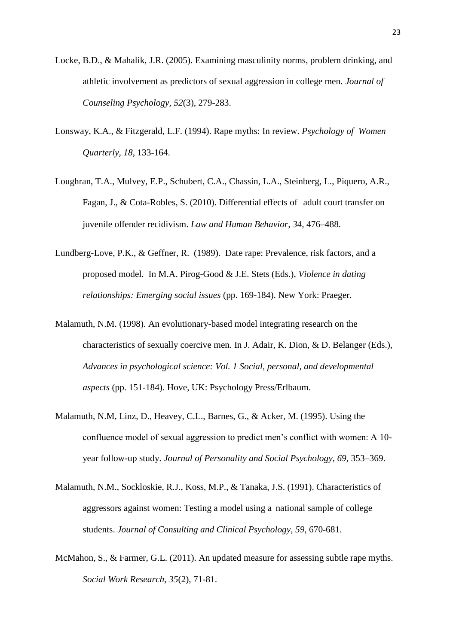- Locke, B.D., & Mahalik, J.R. (2005). Examining masculinity norms, problem drinking, and athletic involvement as predictors of sexual aggression in college men. *Journal of Counseling Psychology, 52*(3), 279-283.
- Lonsway, K.A., & Fitzgerald, L.F. (1994). Rape myths: In review. *Psychology of Women Quarterly, 18*, 133-164.
- Loughran, T.A., Mulvey, E.P., Schubert, C.A., Chassin, L.A., Steinberg, L., Piquero, A.R., Fagan, J., & Cota-Robles, S. (2010). Differential effects of adult court transfer on juvenile offender recidivism. *Law and Human Behavior, 34,* 476–488.
- Lundberg-Love, P.K., & Geffner, R. (1989). Date rape: Prevalence, risk factors, and a proposed model. In M.A. Pirog-Good & J.E. Stets (Eds.), *Violence in dating relationships: Emerging social issues* (pp. 169-184). New York: Praeger.
- Malamuth, N.M. (1998). An evolutionary-based model integrating research on the characteristics of sexually coercive men. In J. Adair, K. Dion, & D. Belanger (Eds.), *Advances in psychological science: Vol. 1 Social, personal, and developmental aspects* (pp. 151-184). Hove, UK: Psychology Press/Erlbaum.
- Malamuth, N.M, Linz, D., Heavey, C.L., Barnes, G., & Acker, M. (1995). Using the confluence model of sexual aggression to predict men"s conflict with women: A 10 year follow-up study. *Journal of Personality and Social Psychology, 69*, 353–369.
- Malamuth, N.M., Sockloskie, R.J., Koss, M.P., & Tanaka, J.S. (1991). Characteristics of aggressors against women: Testing a model using a national sample of college students. *Journal of Consulting and Clinical Psychology, 59*, 670-681.
- McMahon, S., & Farmer, G.L. (2011). An updated measure for assessing subtle rape myths. *Social Work Research, 35*(2), 71-81.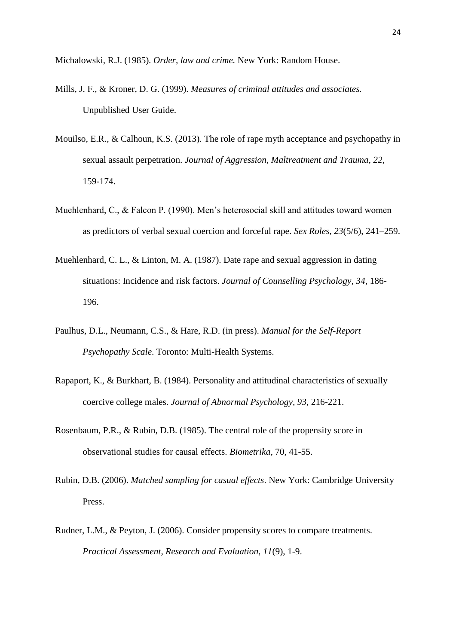Michalowski, R.J. (1985). *Order, law and crime.* New York: Random House.

- Mills, J. F., & Kroner, D. G. (1999). *Measures of criminal attitudes and associates.*  Unpublished User Guide.
- Mouilso, E.R., & Calhoun, K.S. (2013). The role of rape myth acceptance and psychopathy in sexual assault perpetration. *Journal of Aggression, Maltreatment and Trauma, 22*, 159-174.
- Muehlenhard, C., & Falcon P. (1990). Men's heterosocial skill and attitudes toward women as predictors of verbal sexual coercion and forceful rape. *Sex Roles, 23*(5/6), 241–259.
- Muehlenhard, C. L., & Linton, M. A. (1987). Date rape and sexual aggression in dating situations: Incidence and risk factors. *Journal of Counselling Psychology, 34*, 186- 196.
- Paulhus, D.L., Neumann, C.S., & Hare, R.D. (in press). *Manual for the Self-Report Psychopathy Scale*. Toronto: Multi-Health Systems.
- Rapaport, K., & Burkhart, B. (1984). Personality and attitudinal characteristics of sexually coercive college males. *Journal of Abnormal Psychology, 93*, 216-221.
- Rosenbaum, P.R., & Rubin, D.B. (1985). The central role of the propensity score in observational studies for causal effects. *Biometrika*, 70, 41-55.
- Rubin, D.B. (2006). *Matched sampling for casual effects*. New York: Cambridge University Press.
- Rudner, L.M., & Peyton, J. (2006). Consider propensity scores to compare treatments. *Practical Assessment, Research and Evaluation, 11*(9), 1-9.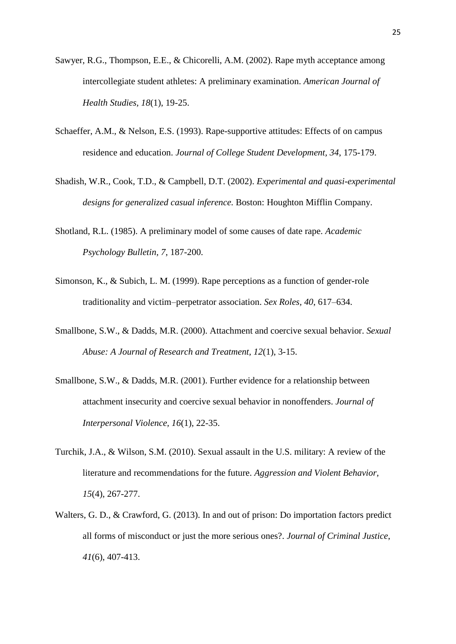- Sawyer, R.G., Thompson, E.E., & Chicorelli, A.M. (2002). Rape myth acceptance among intercollegiate student athletes: A preliminary examination. *American Journal of Health Studies, 18*(1), 19-25.
- Schaeffer, A.M., & Nelson, E.S. (1993). Rape-supportive attitudes: Effects of on campus residence and education. *Journal of College Student Development, 34*, 175-179.
- Shadish, W.R., Cook, T.D., & Campbell, D.T. (2002). *Experimental and quasi-experimental designs for generalized casual inference.* Boston: Houghton Mifflin Company.
- Shotland, R.L. (1985). A preliminary model of some causes of date rape. *Academic Psychology Bulletin, 7*, 187-200.
- Simonson, K., & Subich, L. M. (1999). Rape perceptions as a function of gender-role traditionality and victim–perpetrator association. *Sex Roles, 40*, 617–634.
- Smallbone, S.W., & Dadds, M.R. (2000). Attachment and coercive sexual behavior. *Sexual Abuse: A Journal of Research and Treatment, 12*(1), 3-15.
- Smallbone, S.W., & Dadds, M.R. (2001). Further evidence for a relationship between attachment insecurity and coercive sexual behavior in nonoffenders. *Journal of Interpersonal Violence, 16*(1), 22-35.
- Turchik, J.A., & Wilson, S.M. (2010). Sexual assault in the U.S. military: A review of the literature and recommendations for the future. *Aggression and Violent Behavior, 15*(4), 267-277.
- Walters, G. D., & Crawford, G. (2013). In and out of prison: Do importation factors predict all forms of misconduct or just the more serious ones?. *Journal of Criminal Justice*, *41*(6), 407-413.